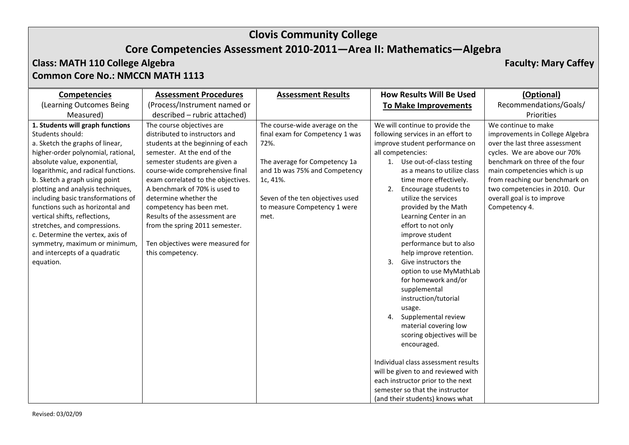# **Core Competencies Assessment 2010-2011—Area II: Mathematics—Algebra**

### **Class: MATH 110 College Algebra Faculty: Mary Caffey Common Core No.: NMCCN MATH 1113**

| <b>Competencies</b>                                                                                                                                                                                                                                                                                                                                                     | <b>Assessment Procedures</b>                                                                                                                                                                                                                                                           | <b>Assessment Results</b>                                                                                             | <b>How Results Will Be Used</b>                                                                                                                                                                                                                                                                                                                              | (Optional)                                                                                                                                      |
|-------------------------------------------------------------------------------------------------------------------------------------------------------------------------------------------------------------------------------------------------------------------------------------------------------------------------------------------------------------------------|----------------------------------------------------------------------------------------------------------------------------------------------------------------------------------------------------------------------------------------------------------------------------------------|-----------------------------------------------------------------------------------------------------------------------|--------------------------------------------------------------------------------------------------------------------------------------------------------------------------------------------------------------------------------------------------------------------------------------------------------------------------------------------------------------|-------------------------------------------------------------------------------------------------------------------------------------------------|
| (Learning Outcomes Being                                                                                                                                                                                                                                                                                                                                                | (Process/Instrument named or                                                                                                                                                                                                                                                           |                                                                                                                       | <b>To Make Improvements</b>                                                                                                                                                                                                                                                                                                                                  | Recommendations/Goals/                                                                                                                          |
| Measured)<br>1. Students will graph functions                                                                                                                                                                                                                                                                                                                           | described - rubric attached)<br>The course objectives are                                                                                                                                                                                                                              | The course-wide average on the                                                                                        | We will continue to provide the                                                                                                                                                                                                                                                                                                                              | Priorities<br>We continue to make                                                                                                               |
| Students should:<br>a. Sketch the graphs of linear,<br>higher-order polynomial, rational,<br>absolute value, exponential,                                                                                                                                                                                                                                               | distributed to instructors and<br>students at the beginning of each<br>semester. At the end of the<br>semester students are given a                                                                                                                                                    | final exam for Competency 1 was<br>72%.<br>The average for Competency 1a                                              | following services in an effort to<br>improve student performance on<br>all competencies:<br>1. Use out-of-class testing                                                                                                                                                                                                                                     | improvements in College Algebra<br>over the last three assessment<br>cycles. We are above our 70%<br>benchmark on three of the four             |
| logarithmic, and radical functions.<br>b. Sketch a graph using point<br>plotting and analysis techniques,<br>including basic transformations of<br>functions such as horizontal and<br>vertical shifts, reflections,<br>stretches, and compressions.<br>c. Determine the vertex, axis of<br>symmetry, maximum or minimum,<br>and intercepts of a quadratic<br>equation. | course-wide comprehensive final<br>exam correlated to the objectives.<br>A benchmark of 70% is used to<br>determine whether the<br>competency has been met.<br>Results of the assessment are<br>from the spring 2011 semester.<br>Ten objectives were measured for<br>this competency. | and 1b was 75% and Competency<br>1c, 41%.<br>Seven of the ten objectives used<br>to measure Competency 1 were<br>met. | as a means to utilize class<br>time more effectively.<br>Encourage students to<br>2.<br>utilize the services<br>provided by the Math<br>Learning Center in an<br>effort to not only<br>improve student<br>performance but to also<br>help improve retention.<br>Give instructors the<br>3.<br>option to use MyMathLab<br>for homework and/or<br>supplemental | main competencies which is up<br>from reaching our benchmark on<br>two competencies in 2010. Our<br>overall goal is to improve<br>Competency 4. |
|                                                                                                                                                                                                                                                                                                                                                                         |                                                                                                                                                                                                                                                                                        |                                                                                                                       | instruction/tutorial<br>usage.<br>Supplemental review<br>4.<br>material covering low<br>scoring objectives will be<br>encouraged.<br>Individual class assessment results<br>will be given to and reviewed with<br>each instructor prior to the next<br>semester so that the instructor<br>(and their students) knows what                                    |                                                                                                                                                 |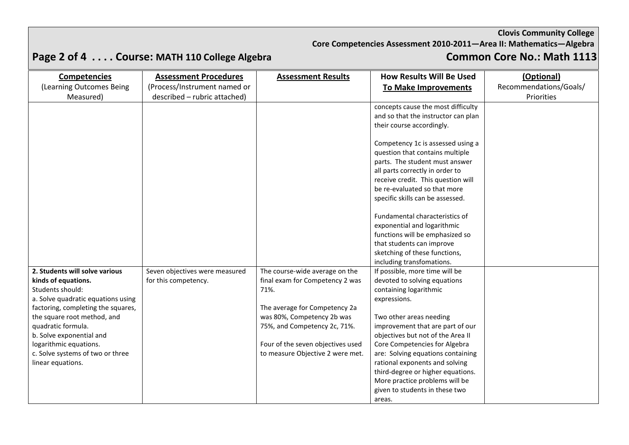**Core Competencies Assessment 2010-2011—Area II: Mathematics—Algebra**

# **Page 2 of 4 .... Course: MATH 110 College Algebra**

| <b>Competencies</b>                | <b>Assessment Procedures</b>   | <b>Assessment Results</b>         | <b>How Results Will Be Used</b>     | (Optional)             |
|------------------------------------|--------------------------------|-----------------------------------|-------------------------------------|------------------------|
| (Learning Outcomes Being           | (Process/Instrument named or   |                                   | To Make Improvements                | Recommendations/Goals/ |
| Measured)                          | described - rubric attached)   |                                   |                                     | Priorities             |
|                                    |                                |                                   | concepts cause the most difficulty  |                        |
|                                    |                                |                                   | and so that the instructor can plan |                        |
|                                    |                                |                                   | their course accordingly.           |                        |
|                                    |                                |                                   |                                     |                        |
|                                    |                                |                                   | Competency 1c is assessed using a   |                        |
|                                    |                                |                                   | question that contains multiple     |                        |
|                                    |                                |                                   | parts. The student must answer      |                        |
|                                    |                                |                                   | all parts correctly in order to     |                        |
|                                    |                                |                                   | receive credit. This question will  |                        |
|                                    |                                |                                   | be re-evaluated so that more        |                        |
|                                    |                                |                                   | specific skills can be assessed.    |                        |
|                                    |                                |                                   |                                     |                        |
|                                    |                                |                                   | Fundamental characteristics of      |                        |
|                                    |                                |                                   | exponential and logarithmic         |                        |
|                                    |                                |                                   | functions will be emphasized so     |                        |
|                                    |                                |                                   | that students can improve           |                        |
|                                    |                                |                                   | sketching of these functions,       |                        |
|                                    |                                |                                   | including transfomations.           |                        |
| 2. Students will solve various     | Seven objectives were measured | The course-wide average on the    | If possible, more time will be      |                        |
| kinds of equations.                | for this competency.           | final exam for Competency 2 was   | devoted to solving equations        |                        |
| Students should:                   |                                | 71%.                              | containing logarithmic              |                        |
| a. Solve quadratic equations using |                                |                                   | expressions.                        |                        |
| factoring, completing the squares, |                                | The average for Competency 2a     |                                     |                        |
| the square root method, and        |                                | was 80%, Competency 2b was        | Two other areas needing             |                        |
| quadratic formula.                 |                                | 75%, and Competency 2c, 71%.      | improvement that are part of our    |                        |
| b. Solve exponential and           |                                |                                   | objectives but not of the Area II   |                        |
| logarithmic equations.             |                                | Four of the seven objectives used | Core Competencies for Algebra       |                        |
| c. Solve systems of two or three   |                                | to measure Objective 2 were met.  | are: Solving equations containing   |                        |
| linear equations.                  |                                |                                   | rational exponents and solving      |                        |
|                                    |                                |                                   | third-degree or higher equations.   |                        |
|                                    |                                |                                   | More practice problems will be      |                        |
|                                    |                                |                                   | given to students in these two      |                        |
|                                    |                                |                                   | areas.                              |                        |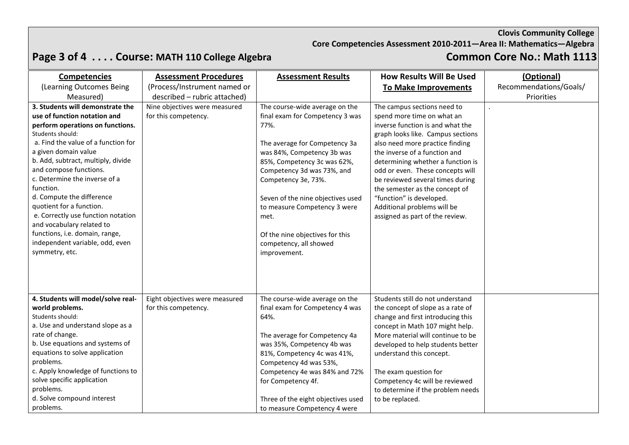**Core Competencies Assessment 2010-2011—Area II: Mathematics—Algebra**

# **Page 3 of 4 .... Course: MATH 110 College Algebra**

| <b>Competencies</b>                 | <b>Assessment Procedures</b>   | <b>Assessment Results</b>               | <b>How Results Will Be Used</b>                                      | (Optional)             |
|-------------------------------------|--------------------------------|-----------------------------------------|----------------------------------------------------------------------|------------------------|
| (Learning Outcomes Being            | (Process/Instrument named or   |                                         | To Make Improvements                                                 | Recommendations/Goals/ |
| Measured)                           | described - rubric attached)   |                                         |                                                                      | Priorities             |
| 3. Students will demonstrate the    | Nine objectives were measured  | The course-wide average on the          | The campus sections need to                                          |                        |
| use of function notation and        | for this competency.           | final exam for Competency 3 was         | spend more time on what an                                           |                        |
| perform operations on functions.    |                                | 77%.                                    | inverse function is and what the                                     |                        |
| Students should:                    |                                |                                         | graph looks like. Campus sections                                    |                        |
| a. Find the value of a function for |                                | The average for Competency 3a           | also need more practice finding                                      |                        |
| a given domain value                |                                | was 84%, Competency 3b was              | the inverse of a function and                                        |                        |
| b. Add, subtract, multiply, divide  |                                | 85%, Competency 3c was 62%,             | determining whether a function is                                    |                        |
| and compose functions.              |                                | Competency 3d was 73%, and              | odd or even. These concepts will                                     |                        |
| c. Determine the inverse of a       |                                | Competency 3e, 73%.                     | be reviewed several times during                                     |                        |
| function.                           |                                |                                         | the semester as the concept of                                       |                        |
| d. Compute the difference           |                                | Seven of the nine objectives used       | "function" is developed.                                             |                        |
| quotient for a function.            |                                | to measure Competency 3 were            | Additional problems will be                                          |                        |
| e. Correctly use function notation  |                                | met.                                    | assigned as part of the review.                                      |                        |
| and vocabulary related to           |                                |                                         |                                                                      |                        |
| functions, i.e. domain, range,      |                                | Of the nine objectives for this         |                                                                      |                        |
| independent variable, odd, even     |                                | competency, all showed                  |                                                                      |                        |
| symmetry, etc.                      |                                | improvement.                            |                                                                      |                        |
|                                     |                                |                                         |                                                                      |                        |
|                                     |                                |                                         |                                                                      |                        |
|                                     |                                |                                         |                                                                      |                        |
| 4. Students will model/solve real-  |                                |                                         | Students still do not understand                                     |                        |
|                                     | Eight objectives were measured | The course-wide average on the          |                                                                      |                        |
| world problems.<br>Students should: | for this competency.           | final exam for Competency 4 was<br>64%. | the concept of slope as a rate of                                    |                        |
| a. Use and understand slope as a    |                                |                                         | change and first introducing this<br>concept in Math 107 might help. |                        |
| rate of change.                     |                                | The average for Competency 4a           | More material will continue to be                                    |                        |
| b. Use equations and systems of     |                                | was 35%, Competency 4b was              | developed to help students better                                    |                        |
| equations to solve application      |                                | 81%, Competency 4c was 41%,             | understand this concept.                                             |                        |
| problems.                           |                                | Competency 4d was 53%,                  |                                                                      |                        |
| c. Apply knowledge of functions to  |                                | Competency 4e was 84% and 72%           | The exam question for                                                |                        |
| solve specific application          |                                | for Competency 4f.                      | Competency 4c will be reviewed                                       |                        |
| problems.                           |                                |                                         | to determine if the problem needs                                    |                        |
| d. Solve compound interest          |                                | Three of the eight objectives used      | to be replaced.                                                      |                        |
| problems.                           |                                | to measure Competency 4 were            |                                                                      |                        |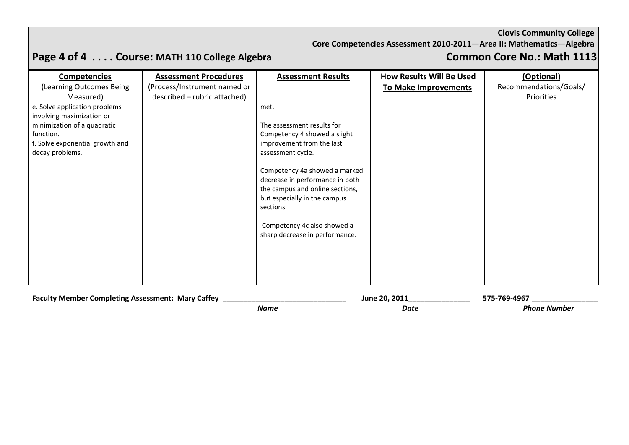# **Core Competencies Assessment 2010-2011—Area II: Mathematics—Algebra**

# **Page 4 of 4 .... Course: MATH 110 College Algebra**

| <b>Competencies</b>             | <b>Assessment Procedures</b> | <b>Assessment Results</b>                                     | <b>How Results Will Be Used</b> | (Optional)             |
|---------------------------------|------------------------------|---------------------------------------------------------------|---------------------------------|------------------------|
| (Learning Outcomes Being        | (Process/Instrument named or |                                                               | <b>To Make Improvements</b>     | Recommendations/Goals/ |
| Measured)                       | described - rubric attached) |                                                               |                                 | Priorities             |
| e. Solve application problems   |                              | met.                                                          |                                 |                        |
| involving maximization or       |                              |                                                               |                                 |                        |
| minimization of a quadratic     |                              | The assessment results for                                    |                                 |                        |
| function.                       |                              | Competency 4 showed a slight                                  |                                 |                        |
| f. Solve exponential growth and |                              | improvement from the last                                     |                                 |                        |
| decay problems.                 |                              | assessment cycle.                                             |                                 |                        |
|                                 |                              |                                                               |                                 |                        |
|                                 |                              | Competency 4a showed a marked                                 |                                 |                        |
|                                 |                              | decrease in performance in both                               |                                 |                        |
|                                 |                              | the campus and online sections,                               |                                 |                        |
|                                 |                              | but especially in the campus                                  |                                 |                        |
|                                 |                              | sections.                                                     |                                 |                        |
|                                 |                              |                                                               |                                 |                        |
|                                 |                              | Competency 4c also showed a<br>sharp decrease in performance. |                                 |                        |
|                                 |                              |                                                               |                                 |                        |
|                                 |                              |                                                               |                                 |                        |
|                                 |                              |                                                               |                                 |                        |
|                                 |                              |                                                               |                                 |                        |
|                                 |                              |                                                               |                                 |                        |
|                                 |                              |                                                               |                                 |                        |

| <b>Faculty Member Completing Assessment: 1</b><br>Mary Caffey |      | June 20, 2011 | $-496^-$<br>.769. |
|---------------------------------------------------------------|------|---------------|-------------------|
|                                                               | Name | Date          | Phone Number      |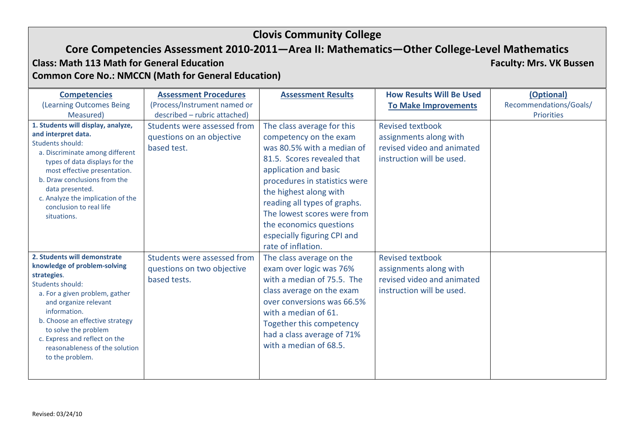### **Core Competencies Assessment 2010-2011—Area II: Mathematics—Other College-Level Mathematics**

**Class: Math 113 Math for General Education Faculty: Mrs. VK Bussen Common Core No.: NMCCN (Math for General Education)**

(Learning Outcomes Being Measured) **Competencies** (Process/Instrument named or described – rubric attached) **Assessment Procedures Assessment Results How Results Will Be Used To Make Improvements** Recommendations/Goals/ **(Optional)** Priorities **1. Students will display, analyze, and interpret data.**  Students should: a. Discriminate among different types of data displays for the most effective presentation. b. Draw conclusions from the data presented. c. Analyze the implication of the conclusion to real life situations. Students were assessed from questions on an objective based test. The class average for this competency on the exam was 80.5% with a median of 81.5. Scores revealed that application and basic procedures in statistics were the highest along with reading all types of graphs. The lowest scores were from the economics questions especially figuring CPI and rate of inflation. Revised textbook assignments along with revised video and animated instruction will be used. **2. Students will demonstrate knowledge of problem-solving strategies**. Students should: a. For a given problem, gather and organize relevant information. b. Choose an effective strategy to solve the problem c. Express and reflect on the reasonableness of the solution to the problem. Students were assessed from questions on two objective based tests. The class average on the exam over logic was 76% with a median of 75.5. The class average on the exam over conversions was 66.5% with a median of 61. Together this competency had a class average of 71% with a median of 68.5. Revised textbook assignments along with revised video and animated instruction will be used.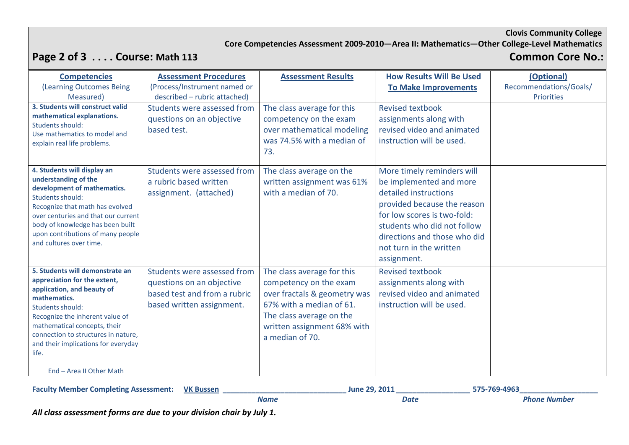### **Core Competencies Assessment 2009-2010—Area II: Mathematics—Other College-Level Mathematics**

# **Page 2 of 3 . . . . Course: Math 113 Common Core No.:**

| <b>Competencies</b>                                                                                                                                                                                                                                                                                                     | <b>Assessment Procedures</b>                                                                                          | <b>Assessment Results</b>                                                                                                                                                                      | <b>How Results Will Be Used</b>                                                                                                                                                                                                                       | (Optional)             |
|-------------------------------------------------------------------------------------------------------------------------------------------------------------------------------------------------------------------------------------------------------------------------------------------------------------------------|-----------------------------------------------------------------------------------------------------------------------|------------------------------------------------------------------------------------------------------------------------------------------------------------------------------------------------|-------------------------------------------------------------------------------------------------------------------------------------------------------------------------------------------------------------------------------------------------------|------------------------|
| (Learning Outcomes Being                                                                                                                                                                                                                                                                                                | (Process/Instrument named or                                                                                          |                                                                                                                                                                                                | <b>To Make Improvements</b>                                                                                                                                                                                                                           | Recommendations/Goals/ |
| Measured)<br>3. Students will construct valid<br>mathematical explanations.<br>Students should:<br>Use mathematics to model and<br>explain real life problems.                                                                                                                                                          | described - rubric attached)<br>Students were assessed from<br>questions on an objective<br>based test.               | The class average for this<br>competency on the exam<br>over mathematical modeling<br>was 74.5% with a median of<br>73.                                                                        | <b>Revised textbook</b><br>assignments along with<br>revised video and animated<br>instruction will be used.                                                                                                                                          | <b>Priorities</b>      |
| 4. Students will display an<br>understanding of the<br>development of mathematics.<br>Students should:<br>Recognize that math has evolved<br>over centuries and that our current<br>body of knowledge has been built<br>upon contributions of many people<br>and cultures over time.                                    | Students were assessed from<br>a rubric based written<br>assignment. (attached)                                       | The class average on the<br>written assignment was 61%<br>with a median of 70.                                                                                                                 | More timely reminders will<br>be implemented and more<br>detailed instructions<br>provided because the reason<br>for low scores is two-fold:<br>students who did not follow<br>directions and those who did<br>not turn in the written<br>assignment. |                        |
| 5. Students will demonstrate an<br>appreciation for the extent,<br>application, and beauty of<br>mathematics.<br>Students should:<br>Recognize the inherent value of<br>mathematical concepts, their<br>connection to structures in nature,<br>and their implications for everyday<br>life.<br>End - Area II Other Math | Students were assessed from<br>questions on an objective<br>based test and from a rubric<br>based written assignment. | The class average for this<br>competency on the exam<br>over fractals & geometry was<br>67% with a median of 61.<br>The class average on the<br>written assignment 68% with<br>a median of 70. | <b>Revised textbook</b><br>assignments along with<br>revised video and animated<br>instruction will be used.                                                                                                                                          |                        |

| <b>Faculty Member Completing Assessment:</b> | <b>VK Bussen</b> |             | June 29, 2011 | 575-769-4963        |
|----------------------------------------------|------------------|-------------|---------------|---------------------|
|                                              |                  | <b>Name</b> | Date          | <b>Phone Number</b> |

*All class assessment forms are due to your division chair by July 1.*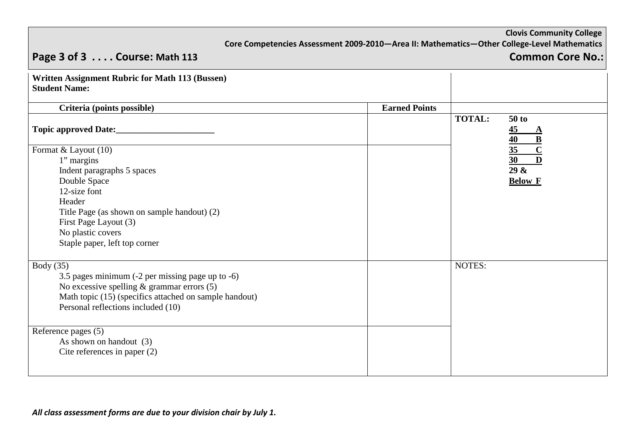|                                                                                                                                                                                                                                          | Core Competencies Assessment 2009-2010-Area II: Mathematics-Other College-Level Mathematics |               | <b>Clovis Community College</b>                                                                       |
|------------------------------------------------------------------------------------------------------------------------------------------------------------------------------------------------------------------------------------------|---------------------------------------------------------------------------------------------|---------------|-------------------------------------------------------------------------------------------------------|
| Page 3 of 3  Course: Math 113                                                                                                                                                                                                            |                                                                                             |               | <b>Common Core No.:</b>                                                                               |
| <b>Written Assignment Rubric for Math 113 (Bussen)</b><br><b>Student Name:</b>                                                                                                                                                           |                                                                                             |               |                                                                                                       |
| Criteria (points possible)                                                                                                                                                                                                               | <b>Earned Points</b>                                                                        |               |                                                                                                       |
|                                                                                                                                                                                                                                          |                                                                                             | <b>TOTAL:</b> | $50$ to<br>$\overline{45}$<br>A<br>$\overline{\mathbf{B}}$<br>40                                      |
| Format & Layout (10)<br>1" margins<br>Indent paragraphs 5 spaces<br>Double Space<br>12-size font<br>Header<br>Title Page (as shown on sample handout) (2)<br>First Page Layout (3)<br>No plastic covers<br>Staple paper, left top corner |                                                                                             |               | $\overline{\mathbf{c}}$<br>35<br>$\overline{\mathbf{D}}$<br>$\overline{30}$<br>29 &<br><b>Below F</b> |
| Body $(35)$<br>3.5 pages minimum (-2 per missing page up to -6)<br>No excessive spelling $&$ grammar errors $(5)$<br>Math topic (15) (specifics attached on sample handout)<br>Personal reflections included (10)<br>Reference pages (5) |                                                                                             | NOTES:        |                                                                                                       |
| As shown on handout (3)<br>Cite references in paper $(2)$                                                                                                                                                                                |                                                                                             |               |                                                                                                       |

*All class assessment forms are due to your division chair by July 1.*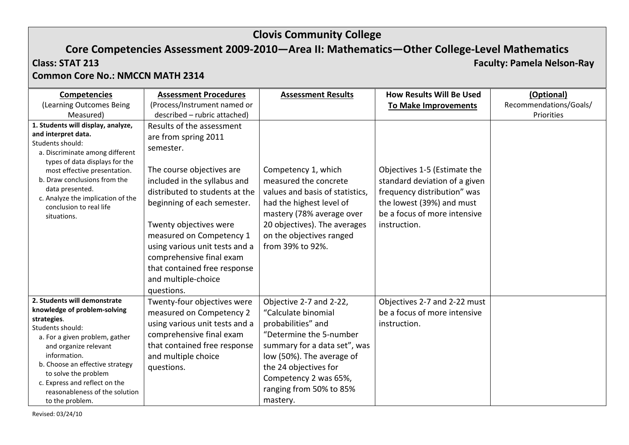# **Core Competencies Assessment 2009-2010—Area II: Mathematics—Other College-Level Mathematics Class: STAT 213 Faculty: Pamela Nelson-Ray**

### **Common Core No.: NMCCN MATH 2314**

| <b>Competencies</b>                                                                                                                                                                                                                                                                                                         | <b>Assessment Procedures</b>                                                                                                                                                                                                                                                                                                                                                          | <b>Assessment Results</b>                                                                                                                                                                                                                             | <b>How Results Will Be Used</b>                                                                                                                                           | (Optional)             |
|-----------------------------------------------------------------------------------------------------------------------------------------------------------------------------------------------------------------------------------------------------------------------------------------------------------------------------|---------------------------------------------------------------------------------------------------------------------------------------------------------------------------------------------------------------------------------------------------------------------------------------------------------------------------------------------------------------------------------------|-------------------------------------------------------------------------------------------------------------------------------------------------------------------------------------------------------------------------------------------------------|---------------------------------------------------------------------------------------------------------------------------------------------------------------------------|------------------------|
| (Learning Outcomes Being                                                                                                                                                                                                                                                                                                    | (Process/Instrument named or                                                                                                                                                                                                                                                                                                                                                          |                                                                                                                                                                                                                                                       | <b>To Make Improvements</b>                                                                                                                                               | Recommendations/Goals/ |
| Measured)                                                                                                                                                                                                                                                                                                                   | described - rubric attached)                                                                                                                                                                                                                                                                                                                                                          |                                                                                                                                                                                                                                                       |                                                                                                                                                                           | Priorities             |
| 1. Students will display, analyze,<br>and interpret data.<br>Students should:<br>a. Discriminate among different<br>types of data displays for the<br>most effective presentation.<br>b. Draw conclusions from the<br>data presented.<br>c. Analyze the implication of the<br>conclusion to real life<br>situations.        | Results of the assessment<br>are from spring 2011<br>semester.<br>The course objectives are<br>included in the syllabus and<br>distributed to students at the<br>beginning of each semester.<br>Twenty objectives were<br>measured on Competency 1<br>using various unit tests and a<br>comprehensive final exam<br>that contained free response<br>and multiple-choice<br>questions. | Competency 1, which<br>measured the concrete<br>values and basis of statistics,<br>had the highest level of<br>mastery (78% average over<br>20 objectives). The averages<br>on the objectives ranged<br>from 39% to 92%.                              | Objectives 1-5 (Estimate the<br>standard deviation of a given<br>frequency distribution" was<br>the lowest (39%) and must<br>be a focus of more intensive<br>instruction. |                        |
| 2. Students will demonstrate<br>knowledge of problem-solving<br>strategies.<br>Students should:<br>a. For a given problem, gather<br>and organize relevant<br>information.<br>b. Choose an effective strategy<br>to solve the problem<br>c. Express and reflect on the<br>reasonableness of the solution<br>to the problem. | Twenty-four objectives were<br>measured on Competency 2<br>using various unit tests and a<br>comprehensive final exam<br>that contained free response<br>and multiple choice<br>questions.                                                                                                                                                                                            | Objective 2-7 and 2-22,<br>"Calculate binomial<br>probabilities" and<br>"Determine the 5-number<br>summary for a data set", was<br>low (50%). The average of<br>the 24 objectives for<br>Competency 2 was 65%,<br>ranging from 50% to 85%<br>mastery. | Objectives 2-7 and 2-22 must<br>be a focus of more intensive<br>instruction.                                                                                              |                        |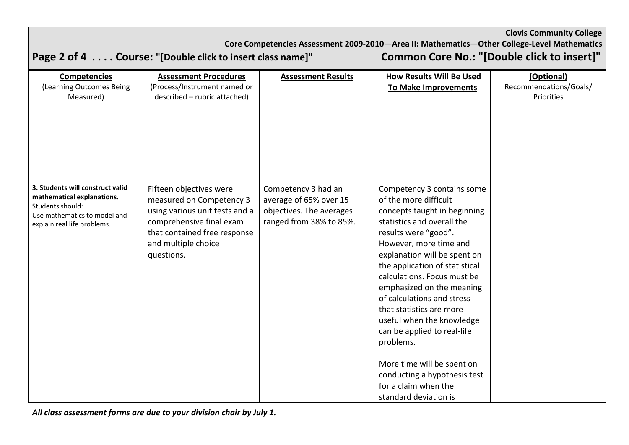**Core Competencies Assessment 2009-2010—Area II: Mathematics—Other College-Level Mathematics Page 2 of 4 . . . . Course: "[Double click to insert class name]" Common Core No.: "[Double click to insert]"**  (Learning Outcomes Being Measured) **Competencies** (Process/Instrument named or described – rubric attached) **Assessment Procedures Assessment Results How Results Will Be Used To Make Improvements** | Recommendations/Goals/ **(Optional)** Priorities **3. Students will construct valid mathematical explanations.**  Students should: Use mathematics to model and explain real life problems. Fifteen objectives were measured on Competency 3 using various unit tests and a comprehensive final exam that contained free response and multiple choice questions. Competency 3 had an average of 65% over 15 objectives. The averages ranged from 38% to 85%. Competency 3 contains some of the more difficult concepts taught in beginning statistics and overall the results were "good". However, more time and explanation will be spent on the application of statistical calculations. Focus must be emphasized on the meaning of calculations and stress that statistics are more useful when the knowledge can be applied to real-life problems. More time will be spent on conducting a hypothesis test for a claim when the standard deviation is

**Clovis Community College**

*All class assessment forms are due to your division chair by July 1.*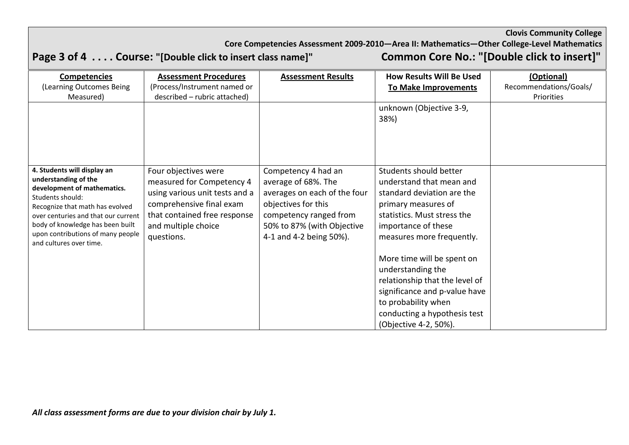Core Competencies Assessment 2009-2010—Area II: Mathematics—Other College-Level Mathematics<br>"O insert class name]" **Common Core No.: "[Double click to insert]** 

# **Page 3 of 4 . . . . Course: "[Double click to insert class name]"**

| <b>Assessment Procedures</b>                                                                                                                                                         | <b>Assessment Results</b>                                                                                                                                                            | <b>How Results Will Be Used</b>                                                                                                                                                                                                                                                                                                         | (Optional)                                            |
|--------------------------------------------------------------------------------------------------------------------------------------------------------------------------------------|--------------------------------------------------------------------------------------------------------------------------------------------------------------------------------------|-----------------------------------------------------------------------------------------------------------------------------------------------------------------------------------------------------------------------------------------------------------------------------------------------------------------------------------------|-------------------------------------------------------|
| (Process/Instrument named or                                                                                                                                                         |                                                                                                                                                                                      | <b>To Make Improvements</b>                                                                                                                                                                                                                                                                                                             | Recommendations/Goals/                                |
| described - rubric attached)                                                                                                                                                         |                                                                                                                                                                                      |                                                                                                                                                                                                                                                                                                                                         | Priorities                                            |
|                                                                                                                                                                                      |                                                                                                                                                                                      | unknown (Objective 3-9,<br>38%)                                                                                                                                                                                                                                                                                                         |                                                       |
| Four objectives were<br>measured for Competency 4<br>using various unit tests and a<br>comprehensive final exam<br>that contained free response<br>and multiple choice<br>questions. | Competency 4 had an<br>average of 68%. The<br>averages on each of the four<br>objectives for this<br>competency ranged from<br>50% to 87% (with Objective<br>4-1 and 4-2 being 50%). | Students should better<br>understand that mean and<br>standard deviation are the<br>primary measures of<br>statistics. Must stress the<br>importance of these<br>measures more frequently.<br>More time will be spent on<br>understanding the<br>relationship that the level of<br>significance and p-value have<br>to probability when |                                                       |
|                                                                                                                                                                                      |                                                                                                                                                                                      |                                                                                                                                                                                                                                                                                                                                         | conducting a hypothesis test<br>(Objective 4-2, 50%). |